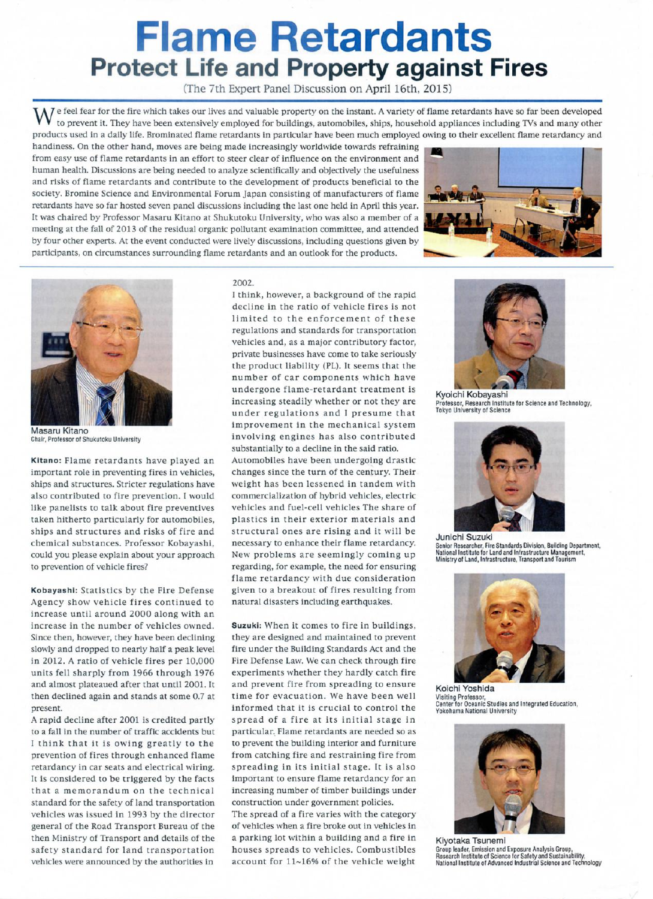## Flame Retardants Protect Life and Property against Fires

(The 7th Expert Panel Discussion on April 16th, 2015)

W e feel fear for the fire which takes our lives and valuable property on the instant. A variety of flame retardants have so far been developed to prevent it. They have been extensively employed for buildings, automobiles, ships, household appliances including Tvs and many other products used in a daily life. Brominated flame retardants in particular have been much employed owing to their excellent flame retardancy and

handiness. On the other hand, moves are being made increasingly worldwide towards refraining from easy use of flame retardants in an effort to steer clear of influence on the environment and human health. Discussions are being needed to analyze scientifically and objectively the usefulness and risks of flame retardants and contribute to the development of products beneficial to the society. Bromine Science and Environmental Forum Japan consisting of manufacturers offlame retardants have so far hosted seven panel discussions including the last one held in April this year. It was Chaired by Professor Masaru Kitano at Shukutoku University, who was also a member of a meeting at the fall of 2013 of the residual organic pollutant examination committee, and attended by four other experts. At the event conducted were lively discussions, including questions given by participants, on circumstances surrounding flame retardants and an outlook for the products.





Masaru Kitano Chair, Professor of Shukutoku University

Kitano: Flame retardants have played an important role in preventing fires in vehicles, ships and structures. Stricter regulations have also contributed to fire prevention. I would like panelists to talk about fire preventives taken hitherto particularly for automobiles, ships and structures and risks of fire and chemical substances. Professor Kobayashi, could you please explain about your approach to prevention of vehicle fires?

Kobayashi: Statistics by the Fire Defense Agency show vehicle fires continued to increase until around 2000 along with an increase in the number of vehicles owned. Since then, however, they have been declining slowly and dropped to nearly half a peak level in 2012. A ratio of vehicle fires per 10,000 units fell sharply from 1966 through 1976 and almost plateaued after that until 2001. 1t then declined again and stands at some 0.7 at present.

A rapid decline after 2001 is credited partly to a fall in the number of traffic accidents but I think that it is owing greatly to the prevention of fires through enhanced flame retardancy in car seats and electrical wiring. It is considered to be triggered by the facts that a memorandum on the technical standard for the safety of land transportation vehicles was issued in 1993 by the director general of the Road Transport Bureau of the then Ministry of Transport and details of the safety standard for land transportation vehicles were announced by the authorities in

2002.

I think, however, a background of the rapid decline in the ratio of vehicle fires is not limited to the enforcement of these regulations and standards for transportation vehicles and, as a major contributory factor, private businesses have come to take seriously the product liability (PL). It seems that the number of Car Components which have undergone flame-retardant treatment is increasing steadily whether or not they are under regulations and I presume that improvement in the mechanical system involving engines has also contributed substantially to a decline in the said ratio.

Automobiles have been undergoing drastic changes since the turn of the century. Their weight has been lessened in tandem with commercialization of hybrid vehicles, electric vehicles and fuel-cell vehicles The share of plastics in their exterior materials and structural ones are rising and it will be necessary to enhance their flame retardancy. New problems are seemingly coming up regarding, for example, the need for ensuring flame retardancy with due Consideration given to a breakout of fires resulting from natural disasters including earthquakes.

Suzukj: When it comes to fire in buildings, they are designed and maintained to prevent fire under the Building Standards Act and the Fire Defense Law. We Can check through fire experiments whether they hardly catch fire and prevent fire from spreading to ensure time for evacuation. We have been well informed that it is crucial to control the spread of a fire at its initial stage in particular. Flame retardants are needed so as to prevent the building interior and furniture from Catching fire and restraining fire from spreading in its initial stage. It is also important to ensure flame retardancy for an increasing number of timber buildings under construction under government policies. The spread of a fire varies with the category

of vehicles when a fire broke out in vehicles in a parking lot within a building and a fire in houses spreads to vehicles. Combustibles account for ll-16% of the vehicle weight



Kyoichi Kobayashi Professor, Research Institute for Science and Technology<br>Tokyo University of Science



Junichi Suzuki Senior Researcher, Fire Standards Division, Building Department, National Institute for Land and Infrastructure Management, Ministry of Land, lnfrastructure, Transport and Tourism



Koichi Yoshida Visltng Professor. Center for Oceanic Studles and lntegrated Education, Yokohama National University



Kiyotaka Tsunemi Group leader, Emission and Exposure Analysis Group,<br>Research Institute of Science for Safety and Sustainability,<br>National Institute of Advanced Industrial Science and Technology